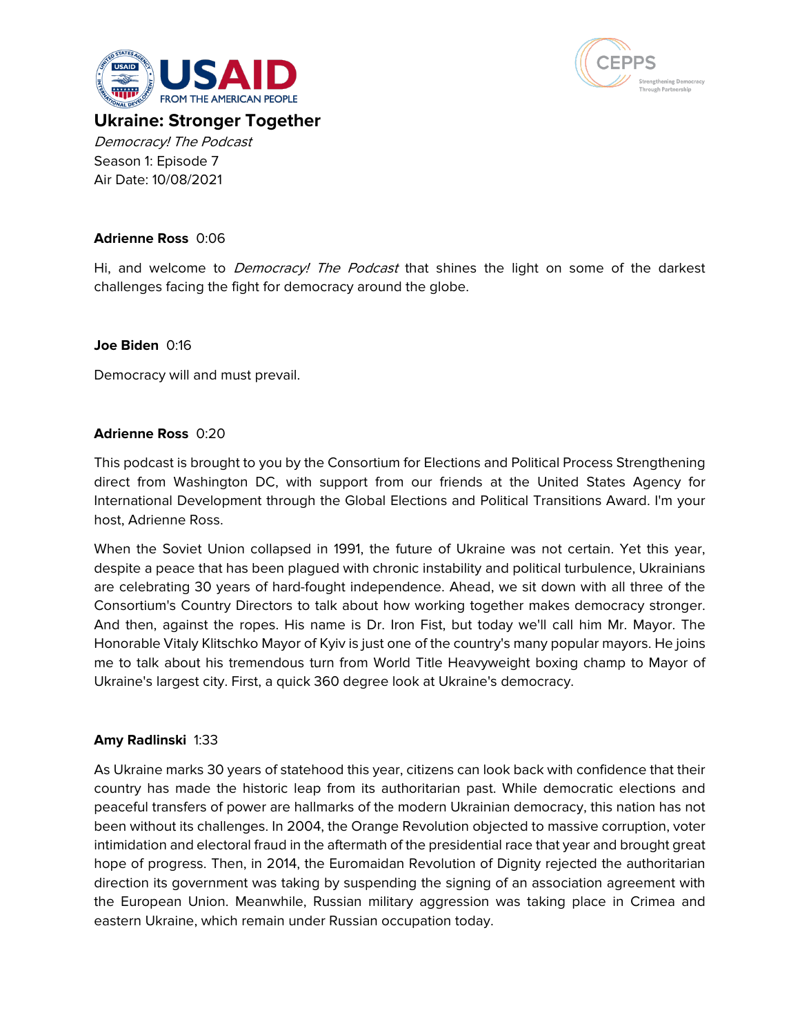



# **Ukraine: Stronger Together** Democracy! The Podcast Season 1: Episode 7 Air Date: 10/08/2021

# **Adrienne Ross** 0:06

Hi, and welcome to *Democracy! The Podcast* that shines the light on some of the darkest challenges facing the fight for democracy around the globe.

### **Joe Biden** 0:16

Democracy will and must prevail.

### **Adrienne Ross** 0:20

This podcast is brought to you by the Consortium for Elections and Political Process Strengthening direct from Washington DC, with support from our friends at the United States Agency for International Development through the Global Elections and Political Transitions Award. I'm your host, Adrienne Ross.

When the Soviet Union collapsed in 1991, the future of Ukraine was not certain. Yet this year, despite a peace that has been plagued with chronic instability and political turbulence, Ukrainians are celebrating 30 years of hard-fought independence. Ahead, we sit down with all three of the Consortium's Country Directors to talk about how working together makes democracy stronger. And then, against the ropes. His name is Dr. Iron Fist, but today we'll call him Mr. Mayor. The Honorable Vitaly Klitschko Mayor of Kyiv is just one of the country's many popular mayors. He joins me to talk about his tremendous turn from World Title Heavyweight boxing champ to Mayor of Ukraine's largest city. First, a quick 360 degree look at Ukraine's democracy.

# **Amy Radlinski** 1:33

As Ukraine marks 30 years of statehood this year, citizens can look back with confidence that their country has made the historic leap from its authoritarian past. While democratic elections and peaceful transfers of power are hallmarks of the modern Ukrainian democracy, this nation has not been without its challenges. In 2004, the Orange Revolution objected to massive corruption, voter intimidation and electoral fraud in the aftermath of the presidential race that year and brought great hope of progress. Then, in 2014, the Euromaidan Revolution of Dignity rejected the authoritarian direction its government was taking by suspending the signing of an association agreement with the European Union. Meanwhile, Russian military aggression was taking place in Crimea and eastern Ukraine, which remain under Russian occupation today.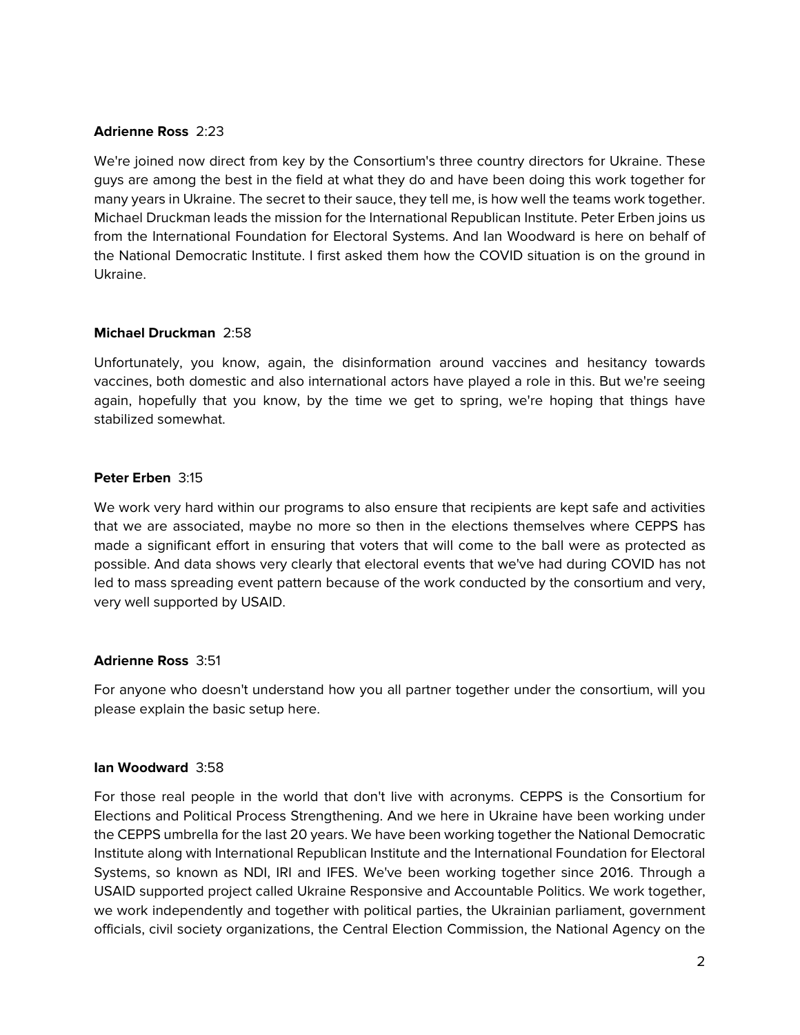### **Adrienne Ross** 2:23

We're joined now direct from key by the Consortium's three country directors for Ukraine. These guys are among the best in the field at what they do and have been doing this work together for many years in Ukraine. The secret to their sauce, they tell me, is how well the teams work together. Michael Druckman leads the mission for the International Republican Institute. Peter Erben joins us from the International Foundation for Electoral Systems. And Ian Woodward is here on behalf of the National Democratic Institute. I first asked them how the COVID situation is on the ground in Ukraine.

### **Michael Druckman** 2:58

Unfortunately, you know, again, the disinformation around vaccines and hesitancy towards vaccines, both domestic and also international actors have played a role in this. But we're seeing again, hopefully that you know, by the time we get to spring, we're hoping that things have stabilized somewhat.

# **Peter Erben** 3:15

We work very hard within our programs to also ensure that recipients are kept safe and activities that we are associated, maybe no more so then in the elections themselves where CEPPS has made a significant effort in ensuring that voters that will come to the ball were as protected as possible. And data shows very clearly that electoral events that we've had during COVID has not led to mass spreading event pattern because of the work conducted by the consortium and very, very well supported by USAID.

### **Adrienne Ross** 3:51

For anyone who doesn't understand how you all partner together under the consortium, will you please explain the basic setup here.

### **Ian Woodward** 3:58

For those real people in the world that don't live with acronyms. CEPPS is the Consortium for Elections and Political Process Strengthening. And we here in Ukraine have been working under the CEPPS umbrella for the last 20 years. We have been working together the National Democratic Institute along with International Republican Institute and the International Foundation for Electoral Systems, so known as NDI, IRI and IFES. We've been working together since 2016. Through a USAID supported project called Ukraine Responsive and Accountable Politics. We work together, we work independently and together with political parties, the Ukrainian parliament, government officials, civil society organizations, the Central Election Commission, the National Agency on the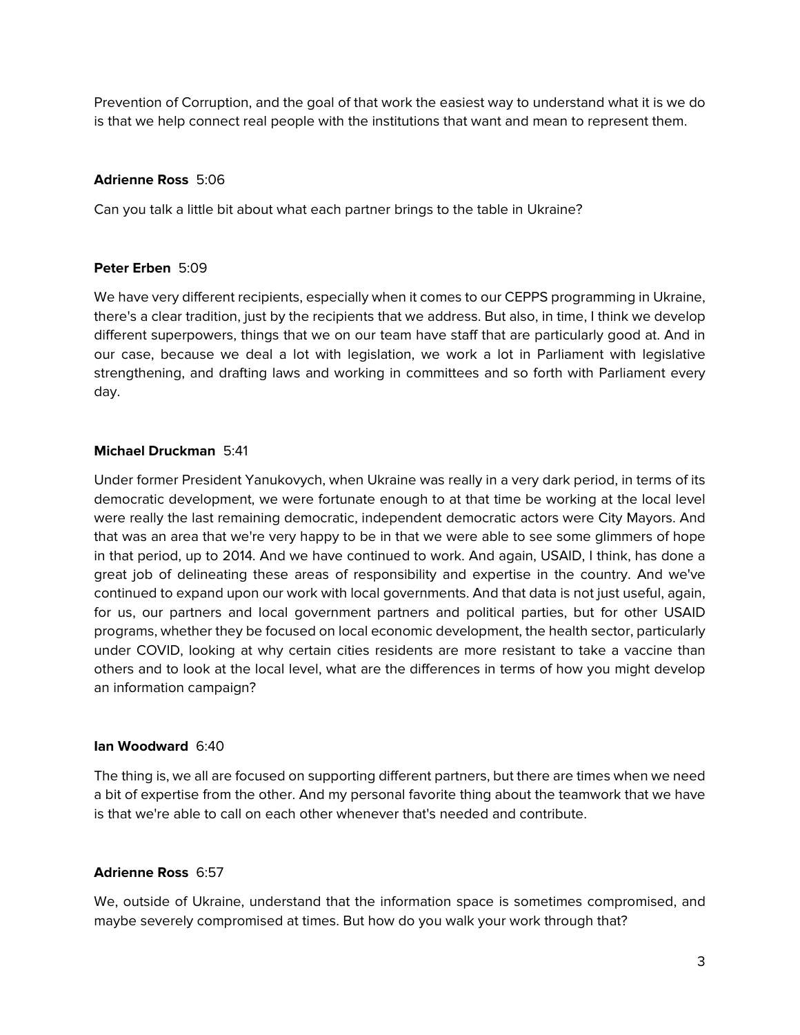Prevention of Corruption, and the goal of that work the easiest way to understand what it is we do is that we help connect real people with the institutions that want and mean to represent them.

# **Adrienne Ross** 5:06

Can you talk a little bit about what each partner brings to the table in Ukraine?

# **Peter Erben** 5:09

We have very different recipients, especially when it comes to our CEPPS programming in Ukraine, there's a clear tradition, just by the recipients that we address. But also, in time, I think we develop different superpowers, things that we on our team have staff that are particularly good at. And in our case, because we deal a lot with legislation, we work a lot in Parliament with legislative strengthening, and drafting laws and working in committees and so forth with Parliament every day.

### **Michael Druckman** 5:41

Under former President Yanukovych, when Ukraine was really in a very dark period, in terms of its democratic development, we were fortunate enough to at that time be working at the local level were really the last remaining democratic, independent democratic actors were City Mayors. And that was an area that we're very happy to be in that we were able to see some glimmers of hope in that period, up to 2014. And we have continued to work. And again, USAID, I think, has done a great job of delineating these areas of responsibility and expertise in the country. And we've continued to expand upon our work with local governments. And that data is not just useful, again, for us, our partners and local government partners and political parties, but for other USAID programs, whether they be focused on local economic development, the health sector, particularly under COVID, looking at why certain cities residents are more resistant to take a vaccine than others and to look at the local level, what are the differences in terms of how you might develop an information campaign?

# **Ian Woodward** 6:40

The thing is, we all are focused on supporting different partners, but there are times when we need a bit of expertise from the other. And my personal favorite thing about the teamwork that we have is that we're able to call on each other whenever that's needed and contribute.

# **Adrienne Ross** 6:57

We, outside of Ukraine, understand that the information space is sometimes compromised, and maybe severely compromised at times. But how do you walk your work through that?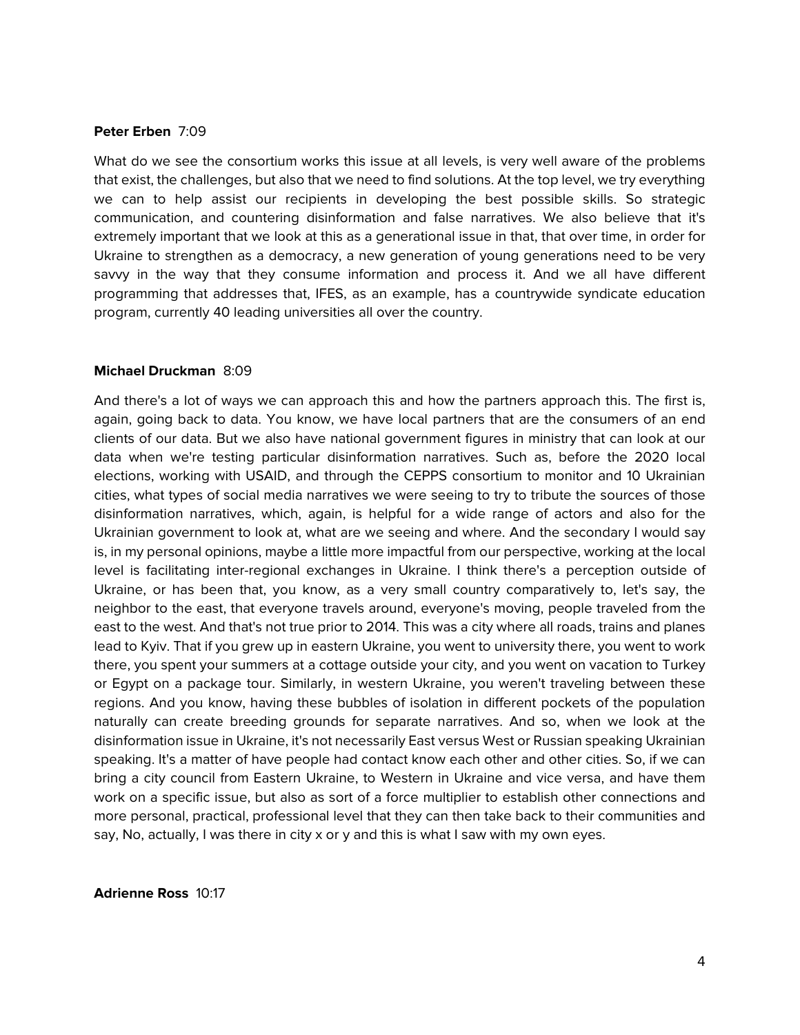#### **Peter Erben** 7:09

What do we see the consortium works this issue at all levels, is very well aware of the problems that exist, the challenges, but also that we need to find solutions. At the top level, we try everything we can to help assist our recipients in developing the best possible skills. So strategic communication, and countering disinformation and false narratives. We also believe that it's extremely important that we look at this as a generational issue in that, that over time, in order for Ukraine to strengthen as a democracy, a new generation of young generations need to be very savvy in the way that they consume information and process it. And we all have different programming that addresses that, IFES, as an example, has a countrywide syndicate education program, currently 40 leading universities all over the country.

#### **Michael Druckman** 8:09

And there's a lot of ways we can approach this and how the partners approach this. The first is, again, going back to data. You know, we have local partners that are the consumers of an end clients of our data. But we also have national government figures in ministry that can look at our data when we're testing particular disinformation narratives. Such as, before the 2020 local elections, working with USAID, and through the CEPPS consortium to monitor and 10 Ukrainian cities, what types of social media narratives we were seeing to try to tribute the sources of those disinformation narratives, which, again, is helpful for a wide range of actors and also for the Ukrainian government to look at, what are we seeing and where. And the secondary I would say is, in my personal opinions, maybe a little more impactful from our perspective, working at the local level is facilitating inter-regional exchanges in Ukraine. I think there's a perception outside of Ukraine, or has been that, you know, as a very small country comparatively to, let's say, the neighbor to the east, that everyone travels around, everyone's moving, people traveled from the east to the west. And that's not true prior to 2014. This was a city where all roads, trains and planes lead to Kyiv. That if you grew up in eastern Ukraine, you went to university there, you went to work there, you spent your summers at a cottage outside your city, and you went on vacation to Turkey or Egypt on a package tour. Similarly, in western Ukraine, you weren't traveling between these regions. And you know, having these bubbles of isolation in different pockets of the population naturally can create breeding grounds for separate narratives. And so, when we look at the disinformation issue in Ukraine, it's not necessarily East versus West or Russian speaking Ukrainian speaking. It's a matter of have people had contact know each other and other cities. So, if we can bring a city council from Eastern Ukraine, to Western in Ukraine and vice versa, and have them work on a specific issue, but also as sort of a force multiplier to establish other connections and more personal, practical, professional level that they can then take back to their communities and say, No, actually, I was there in city x or y and this is what I saw with my own eyes.

#### **Adrienne Ross** 10:17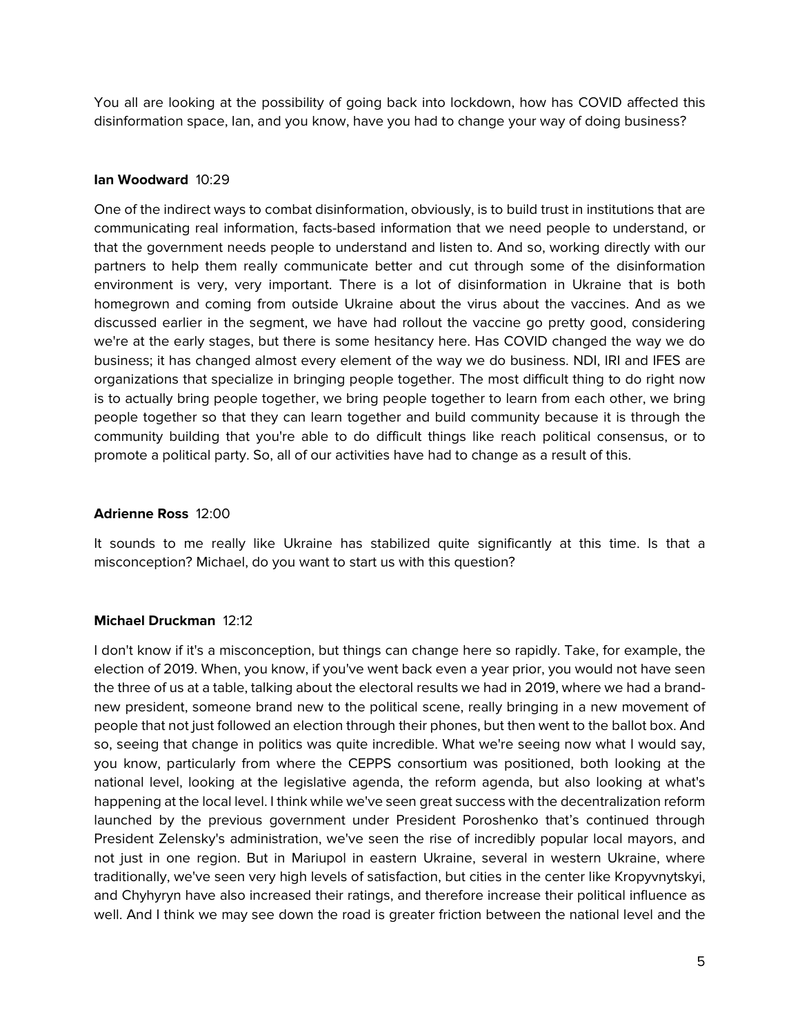You all are looking at the possibility of going back into lockdown, how has COVID affected this disinformation space, Ian, and you know, have you had to change your way of doing business?

# **Ian Woodward** 10:29

One of the indirect ways to combat disinformation, obviously, is to build trust in institutions that are communicating real information, facts-based information that we need people to understand, or that the government needs people to understand and listen to. And so, working directly with our partners to help them really communicate better and cut through some of the disinformation environment is very, very important. There is a lot of disinformation in Ukraine that is both homegrown and coming from outside Ukraine about the virus about the vaccines. And as we discussed earlier in the segment, we have had rollout the vaccine go pretty good, considering we're at the early stages, but there is some hesitancy here. Has COVID changed the way we do business; it has changed almost every element of the way we do business. NDI, IRI and IFES are organizations that specialize in bringing people together. The most difficult thing to do right now is to actually bring people together, we bring people together to learn from each other, we bring people together so that they can learn together and build community because it is through the community building that you're able to do difficult things like reach political consensus, or to promote a political party. So, all of our activities have had to change as a result of this.

### **Adrienne Ross** 12:00

It sounds to me really like Ukraine has stabilized quite significantly at this time. Is that a misconception? Michael, do you want to start us with this question?

### **Michael Druckman** 12:12

I don't know if it's a misconception, but things can change here so rapidly. Take, for example, the election of 2019. When, you know, if you've went back even a year prior, you would not have seen the three of us at a table, talking about the electoral results we had in 2019, where we had a brandnew president, someone brand new to the political scene, really bringing in a new movement of people that not just followed an election through their phones, but then went to the ballot box. And so, seeing that change in politics was quite incredible. What we're seeing now what I would say, you know, particularly from where the CEPPS consortium was positioned, both looking at the national level, looking at the legislative agenda, the reform agenda, but also looking at what's happening at the local level. I think while we've seen great success with the decentralization reform launched by the previous government under President Poroshenko that's continued through President Zelensky's administration, we've seen the rise of incredibly popular local mayors, and not just in one region. But in Mariupol in eastern Ukraine, several in western Ukraine, where traditionally, we've seen very high levels of satisfaction, but cities in the center like Kropyvnytskyi, and Chyhyryn have also increased their ratings, and therefore increase their political influence as well. And I think we may see down the road is greater friction between the national level and the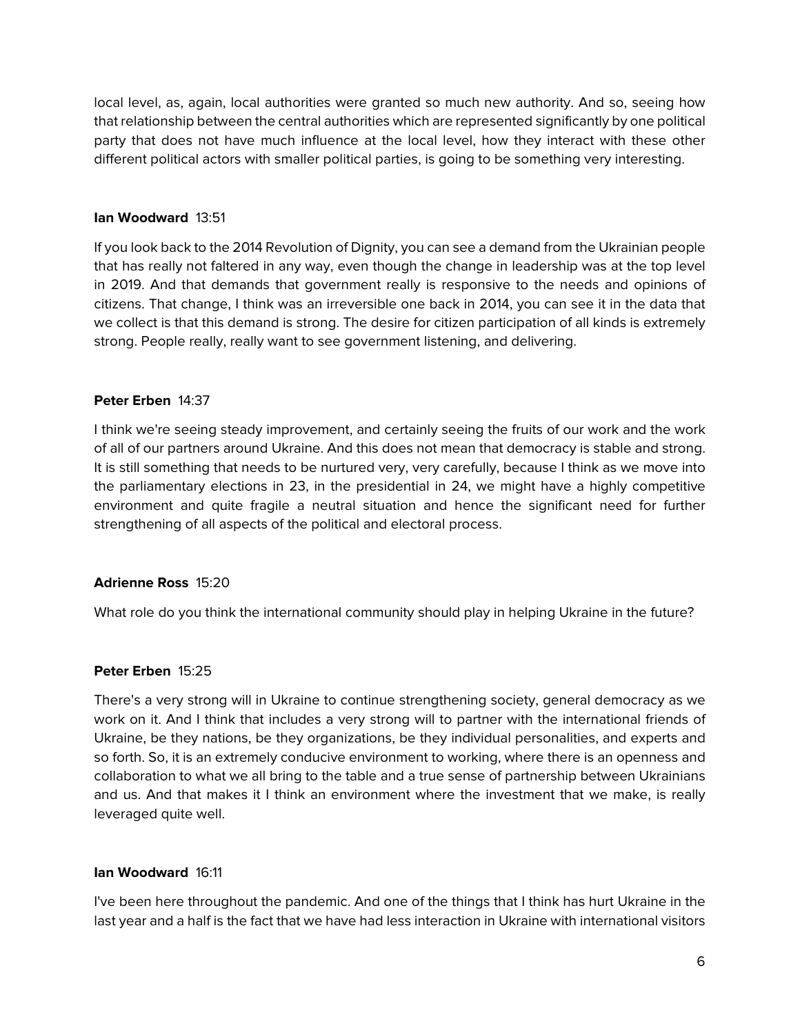local level, as, again, local authorities were granted so much new authority. And so, seeing how that relationship between the central authorities which are represented significantly by one political party that does not have much influence at the local level, how they interact with these other different political actors with smaller political parties, is going to be something very interesting.

### **Ian Woodward** 13:51

If you look back to the 2014 Revolution of Dignity, you can see a demand from the Ukrainian people that has really not faltered in any way, even though the change in leadership was at the top level in 2019. And that demands that government really is responsive to the needs and opinions of citizens. That change, I think was an irreversible one back in 2014, you can see it in the data that we collect is that this demand is strong. The desire for citizen participation of all kinds is extremely strong. People really, really want to see government listening, and delivering.

# **Peter Erben** 14:37

I think we're seeing steady improvement, and certainly seeing the fruits of our work and the work of all of our partners around Ukraine. And this does not mean that democracy is stable and strong. It is still something that needs to be nurtured very, very carefully, because I think as we move into the parliamentary elections in 23, in the presidential in 24, we might have a highly competitive environment and quite fragile a neutral situation and hence the significant need for further strengthening of all aspects of the political and electoral process.

# **Adrienne Ross** 15:20

What role do you think the international community should play in helping Ukraine in the future?

### **Peter Erben** 15:25

There's a very strong will in Ukraine to continue strengthening society, general democracy as we work on it. And I think that includes a very strong will to partner with the international friends of Ukraine, be they nations, be they organizations, be they individual personalities, and experts and so forth. So, it is an extremely conducive environment to working, where there is an openness and collaboration to what we all bring to the table and a true sense of partnership between Ukrainians and us. And that makes it I think an environment where the investment that we make, is really leveraged quite well.

### **Ian Woodward** 16:11

I've been here throughout the pandemic. And one of the things that I think has hurt Ukraine in the last year and a half is the fact that we have had less interaction in Ukraine with international visitors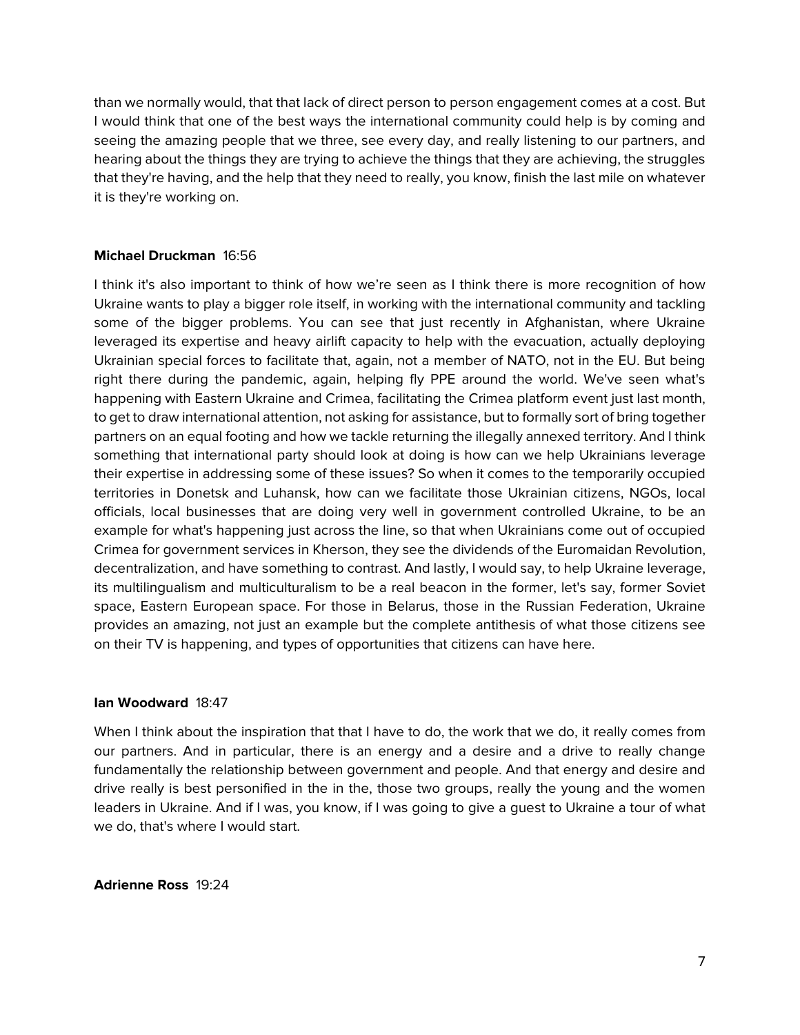than we normally would, that that lack of direct person to person engagement comes at a cost. But I would think that one of the best ways the international community could help is by coming and seeing the amazing people that we three, see every day, and really listening to our partners, and hearing about the things they are trying to achieve the things that they are achieving, the struggles that they're having, and the help that they need to really, you know, finish the last mile on whatever it is they're working on.

# **Michael Druckman** 16:56

I think it's also important to think of how we're seen as I think there is more recognition of how Ukraine wants to play a bigger role itself, in working with the international community and tackling some of the bigger problems. You can see that just recently in Afghanistan, where Ukraine leveraged its expertise and heavy airlift capacity to help with the evacuation, actually deploying Ukrainian special forces to facilitate that, again, not a member of NATO, not in the EU. But being right there during the pandemic, again, helping fly PPE around the world. We've seen what's happening with Eastern Ukraine and Crimea, facilitating the Crimea platform event just last month, to get to draw international attention, not asking for assistance, but to formally sort of bring together partners on an equal footing and how we tackle returning the illegally annexed territory. And I think something that international party should look at doing is how can we help Ukrainians leverage their expertise in addressing some of these issues? So when it comes to the temporarily occupied territories in Donetsk and Luhansk, how can we facilitate those Ukrainian citizens, NGOs, local officials, local businesses that are doing very well in government controlled Ukraine, to be an example for what's happening just across the line, so that when Ukrainians come out of occupied Crimea for government services in Kherson, they see the dividends of the Euromaidan Revolution, decentralization, and have something to contrast. And lastly, I would say, to help Ukraine leverage, its multilingualism and multiculturalism to be a real beacon in the former, let's say, former Soviet space, Eastern European space. For those in Belarus, those in the Russian Federation, Ukraine provides an amazing, not just an example but the complete antithesis of what those citizens see on their TV is happening, and types of opportunities that citizens can have here.

### **Ian Woodward** 18:47

When I think about the inspiration that that I have to do, the work that we do, it really comes from our partners. And in particular, there is an energy and a desire and a drive to really change fundamentally the relationship between government and people. And that energy and desire and drive really is best personified in the in the, those two groups, really the young and the women leaders in Ukraine. And if I was, you know, if I was going to give a guest to Ukraine a tour of what we do, that's where I would start.

### **Adrienne Ross** 19:24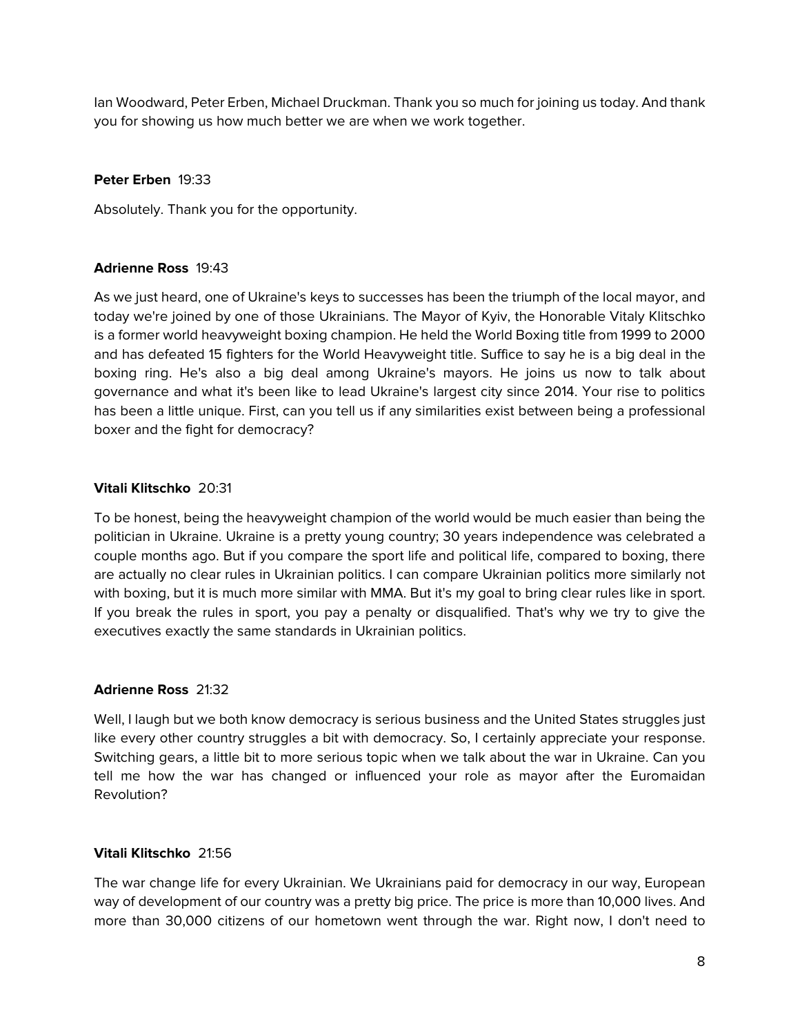Ian Woodward, Peter Erben, Michael Druckman. Thank you so much for joining us today. And thank you for showing us how much better we are when we work together.

# **Peter Erben** 19:33

Absolutely. Thank you for the opportunity.

# **Adrienne Ross** 19:43

As we just heard, one of Ukraine's keys to successes has been the triumph of the local mayor, and today we're joined by one of those Ukrainians. The Mayor of Kyiv, the Honorable Vitaly Klitschko is a former world heavyweight boxing champion. He held the World Boxing title from 1999 to 2000 and has defeated 15 fighters for the World Heavyweight title. Suffice to say he is a big deal in the boxing ring. He's also a big deal among Ukraine's mayors. He joins us now to talk about governance and what it's been like to lead Ukraine's largest city since 2014. Your rise to politics has been a little unique. First, can you tell us if any similarities exist between being a professional boxer and the fight for democracy?

# **Vitali Klitschko** 20:31

To be honest, being the heavyweight champion of the world would be much easier than being the politician in Ukraine. Ukraine is a pretty young country; 30 years independence was celebrated a couple months ago. But if you compare the sport life and political life, compared to boxing, there are actually no clear rules in Ukrainian politics. I can compare Ukrainian politics more similarly not with boxing, but it is much more similar with MMA. But it's my goal to bring clear rules like in sport. If you break the rules in sport, you pay a penalty or disqualified. That's why we try to give the executives exactly the same standards in Ukrainian politics.

### **Adrienne Ross** 21:32

Well, I laugh but we both know democracy is serious business and the United States struggles just like every other country struggles a bit with democracy. So, I certainly appreciate your response. Switching gears, a little bit to more serious topic when we talk about the war in Ukraine. Can you tell me how the war has changed or influenced your role as mayor after the Euromaidan Revolution?

### **Vitali Klitschko** 21:56

The war change life for every Ukrainian. We Ukrainians paid for democracy in our way, European way of development of our country was a pretty big price. The price is more than 10,000 lives. And more than 30,000 citizens of our hometown went through the war. Right now, I don't need to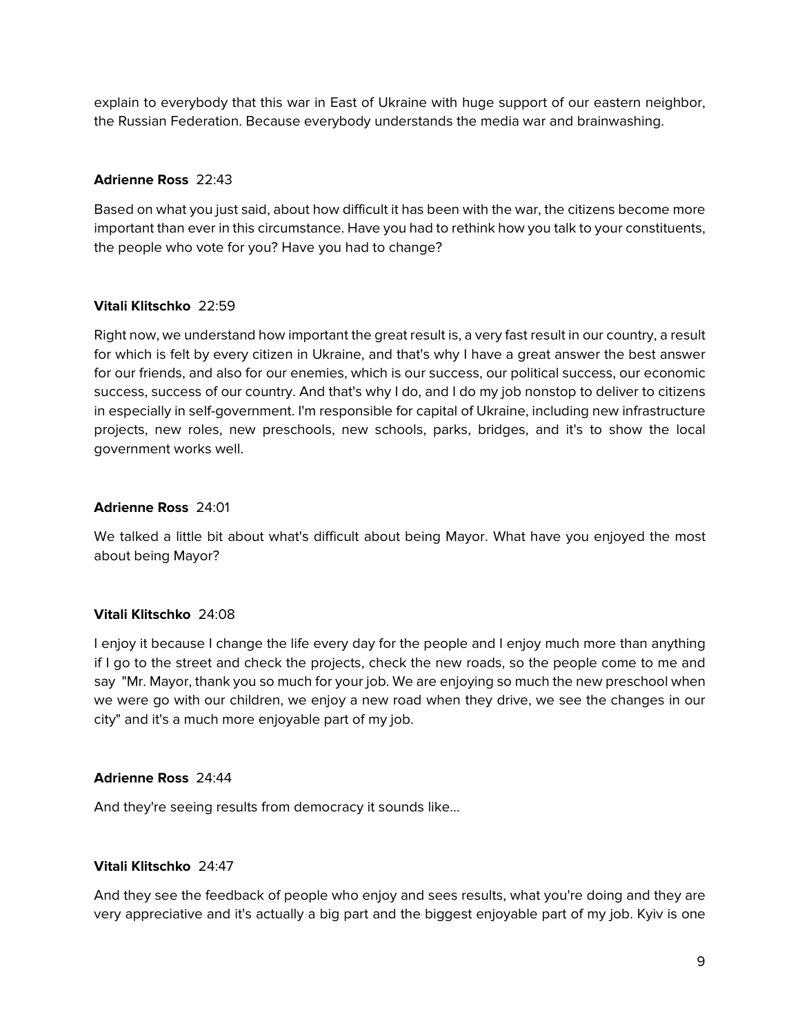explain to everybody that this war in East of Ukraine with huge support of our eastern neighbor, the Russian Federation. Because everybody understands the media war and brainwashing.

# **Adrienne Ross** 22:43

Based on what you just said, about how difficult it has been with the war, the citizens become more important than ever in this circumstance. Have you had to rethink how you talk to your constituents, the people who vote for you? Have you had to change?

# **Vitali Klitschko** 22:59

Right now, we understand how important the great result is, a very fast result in our country, a result for which is felt by every citizen in Ukraine, and that's why I have a great answer the best answer for our friends, and also for our enemies, which is our success, our political success, our economic success, success of our country. And that's why I do, and I do my job nonstop to deliver to citizens in especially in self-government. I'm responsible for capital of Ukraine, including new infrastructure projects, new roles, new preschools, new schools, parks, bridges, and it's to show the local government works well.

# **Adrienne Ross** 24:01

We talked a little bit about what's difficult about being Mayor. What have you enjoyed the most about being Mayor?

# **Vitali Klitschko** 24:08

I enjoy it because I change the life every day for the people and I enjoy much more than anything if I go to the street and check the projects, check the new roads, so the people come to me and say "Mr. Mayor, thank you so much for your job. We are enjoying so much the new preschool when we were go with our children, we enjoy a new road when they drive, we see the changes in our city" and it's a much more enjoyable part of my job.

### **Adrienne Ross** 24:44

And they're seeing results from democracy it sounds like…

### **Vitali Klitschko** 24:47

And they see the feedback of people who enjoy and sees results, what you're doing and they are very appreciative and it's actually a big part and the biggest enjoyable part of my job. Kyiv is one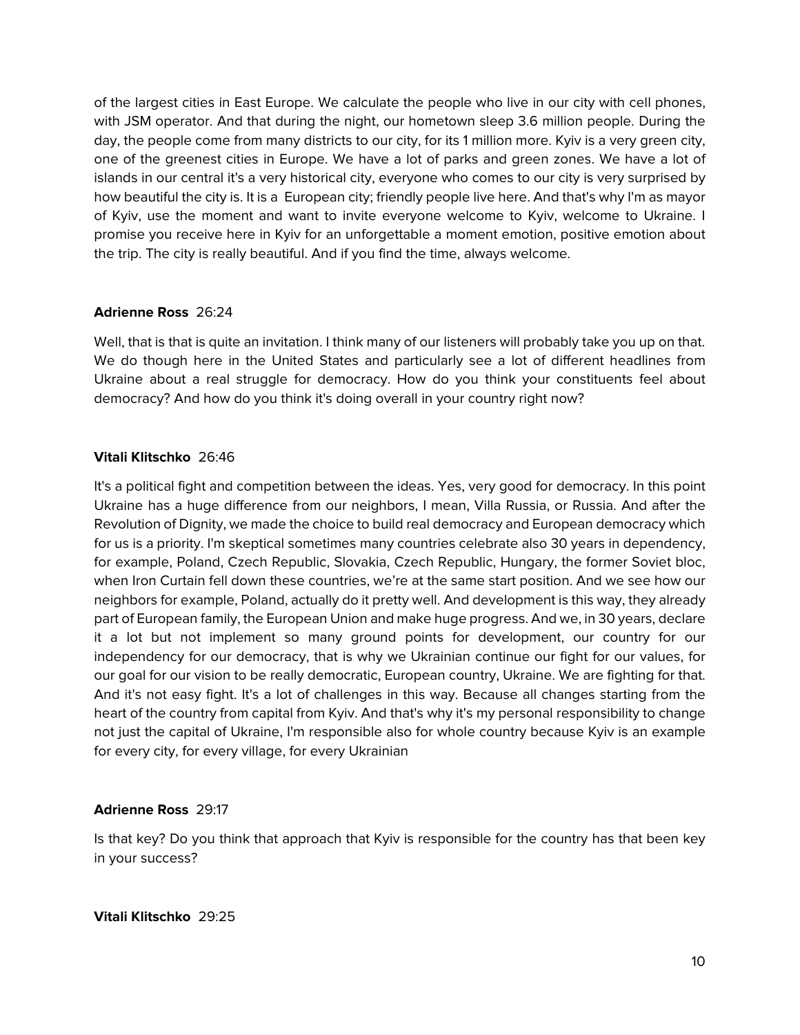of the largest cities in East Europe. We calculate the people who live in our city with cell phones, with JSM operator. And that during the night, our hometown sleep 3.6 million people. During the day, the people come from many districts to our city, for its 1 million more. Kyiv is a very green city, one of the greenest cities in Europe. We have a lot of parks and green zones. We have a lot of islands in our central it's a very historical city, everyone who comes to our city is very surprised by how beautiful the city is. It is a European city; friendly people live here. And that's why I'm as mayor of Kyiv, use the moment and want to invite everyone welcome to Kyiv, welcome to Ukraine. I promise you receive here in Kyiv for an unforgettable a moment emotion, positive emotion about the trip. The city is really beautiful. And if you find the time, always welcome.

# **Adrienne Ross** 26:24

Well, that is that is quite an invitation. I think many of our listeners will probably take you up on that. We do though here in the United States and particularly see a lot of different headlines from Ukraine about a real struggle for democracy. How do you think your constituents feel about democracy? And how do you think it's doing overall in your country right now?

# **Vitali Klitschko** 26:46

It's a political fight and competition between the ideas. Yes, very good for democracy. In this point Ukraine has a huge difference from our neighbors, I mean, Villa Russia, or Russia. And after the Revolution of Dignity, we made the choice to build real democracy and European democracy which for us is a priority. I'm skeptical sometimes many countries celebrate also 30 years in dependency, for example, Poland, Czech Republic, Slovakia, Czech Republic, Hungary, the former Soviet bloc, when Iron Curtain fell down these countries, we're at the same start position. And we see how our neighbors for example, Poland, actually do it pretty well. And development is this way, they already part of European family, the European Union and make huge progress. And we, in 30 years, declare it a lot but not implement so many ground points for development, our country for our independency for our democracy, that is why we Ukrainian continue our fight for our values, for our goal for our vision to be really democratic, European country, Ukraine. We are fighting for that. And it's not easy fight. It's a lot of challenges in this way. Because all changes starting from the heart of the country from capital from Kyiv. And that's why it's my personal responsibility to change not just the capital of Ukraine, I'm responsible also for whole country because Kyiv is an example for every city, for every village, for every Ukrainian

### **Adrienne Ross** 29:17

Is that key? Do you think that approach that Kyiv is responsible for the country has that been key in your success?

**Vitali Klitschko** 29:25